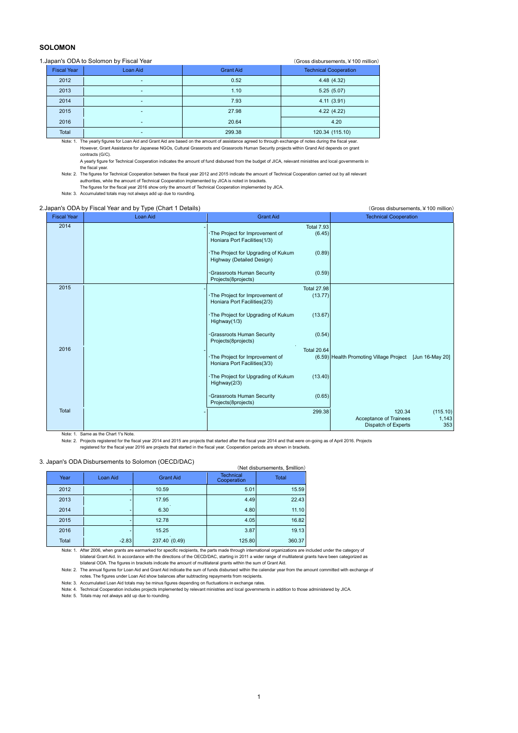# **SOLOMON**

## 1.Japan's ODA to Solomon by Fiscal Year (Gross disbursements, ¥100 million)

|                    |          | $\sim$ . 000 and 00.000 and 00.000 $\sim$ . 000 minutes of |                              |  |
|--------------------|----------|------------------------------------------------------------|------------------------------|--|
| <b>Fiscal Year</b> | Loan Aid | <b>Grant Aid</b>                                           | <b>Technical Cooperation</b> |  |
| 2012               |          | 0.52                                                       | 4.48(4.32)                   |  |
| 2013               |          | 1.10                                                       | 5.25(5.07)                   |  |
| 2014               | ۰        | 7.93                                                       | 4.11(3.91)                   |  |
| 2015               | ۰        | 27.98                                                      | 4.22(4.22)                   |  |
| 2016               |          | 20.64                                                      | 4.20                         |  |
| Total              | ۰        | 299.38                                                     | 120.34 (115.10)              |  |
|                    |          |                                                            |                              |  |

Note: 1. The yearly figures for Loan Aid and Grant Aid are based on the amount of assistance agreed to through exchange of notes during the fiscal year. However, Grant Assistance for Japanese NGOs, Cultural Grassroots and Grassroots Human Security projects within Grand Aid depends on grant contracts (G/C).

A yearly figure for Technical Cooperation indicates the amount of fund disbursed from the budget of JICA, relevant ministries and local governments in the fiscal year.

Note: 2. The figures for Technical Cooperation between the fiscal year 2012 and 2015 indicate the amount of Technical Cooperation carried out by all relevant authorities, while the amount of Technical Cooperation implemented by JICA is noted in brackets.

The figures for the fiscal year 2016 show only the amount of Technical Cooperation implemented by JICA.

Note: 3. Accumulated totals may not always add up due to rounding.

#### 2.Japan's ODA by Fiscal Year and by Type (Chart 1 Details) (Gross disbursements, ¥100 million)

| <b>Fiscal Year</b> | <b>Loan Aid</b> | <b>Grant Aid</b>                                                                                  | <b>Technical Cooperation</b>                                                        |
|--------------------|-----------------|---------------------------------------------------------------------------------------------------|-------------------------------------------------------------------------------------|
| 2014               |                 | <b>Total 7.93</b><br>(6.45)<br>· The Project for Improvement of<br>Honiara Port Facilities(1/3)   |                                                                                     |
|                    |                 | (0.89)<br>The Project for Upgrading of Kukum<br>Highway (Detailed Design)                         |                                                                                     |
|                    |                 | Grassroots Human Security<br>(0.59)<br>Projects(8projects)                                        |                                                                                     |
| 2015               |                 | <b>Total 27.98</b><br>· The Project for Improvement of<br>(13.77)<br>Honiara Port Facilities(2/3) |                                                                                     |
|                    |                 | (13.67)<br>The Project for Upgrading of Kukum<br>Highway $(1/3)$                                  |                                                                                     |
|                    |                 | (0.54)<br>Grassroots Human Security<br>Projects(8projects)                                        |                                                                                     |
| 2016               |                 | <b>Total 20.64</b><br>· The Project for Improvement of<br>Honiara Port Facilities(3/3)            | (6.59) Health Promoting Village Project [Jun 16-May 20]                             |
|                    |                 | · The Project for Upgrading of Kukum<br>(13.40)<br>Highway(2/3)                                   |                                                                                     |
|                    |                 | Grassroots Human Security<br>(0.65)<br>Projects(8projects)                                        |                                                                                     |
| Total              |                 | 299.38                                                                                            | 120.34<br>(115.10)<br>Acceptance of Trainees<br>1,143<br>Dispatch of Experts<br>353 |

Note: 1. Same as the Chart 1's Note.

Note: 2. Projects registered for the fiscal year 2014 and 2015 are projects that started after the fiscal year 2014 and that were on-going as of April 2016. Projects registered for the fiscal year 2016 are projects that started in the fiscal year. Cooperation periods are shown in brackets.

### 3. Japan's ODA Disbursements to Solomon (OECD/DAC)

| <u>Japan's ODA Disbursements to Juliuli (OLODIDAO)</u><br>(Net disbursements, \$million) |          |                  |                                 |              |  |  |  |  |  |
|------------------------------------------------------------------------------------------|----------|------------------|---------------------------------|--------------|--|--|--|--|--|
| Year                                                                                     | Loan Aid | <b>Grant Aid</b> | <b>Technical</b><br>Cooperation | <b>Total</b> |  |  |  |  |  |
| 2012                                                                                     |          | 10.59            | 5.01                            | 15.59        |  |  |  |  |  |
| 2013                                                                                     | ٠        | 17.95            | 4.49                            | 22.43        |  |  |  |  |  |
| 2014                                                                                     | -        | 6.30             | 4.80                            | 11.10        |  |  |  |  |  |
| 2015                                                                                     | ٠        | 12.78            | 4.05                            | 16.82        |  |  |  |  |  |
| 2016                                                                                     |          | 15.25            | 3.87                            | 19.13        |  |  |  |  |  |
| Total                                                                                    | $-2.83$  | 237.40 (0.49)    | 125.80                          | 360.37       |  |  |  |  |  |

Note: 1. After 2006, when grants are earmarked for specific recipients, the parts made through international organizations are included under the category of bilateral Grant Aid. In accordance with the directions of the OECD/DAC, starting in 2011 a wider range of multilateral grants have been categorized as bilateral ODA. The figures in brackets indicate the amount of multilateral grants within the sum of Grant Aid.

Note: 2. The annual figures for Loan Aid and Grant Aid indicate the sum of funds disbursed within the calendar year from the amount committed with exchange of notes. The figures under Loan Aid show balances after subtracting repayments from recipients.

Note: 3. Accumulated Loan Aid totals may be minus figures depending on fluctuations in exchange rates.<br>Note: 4. Technical Cooperation includes projects implemented by relevant ministries and local governments in addition t

Note: 5. Totals may not always add up due to rounding.